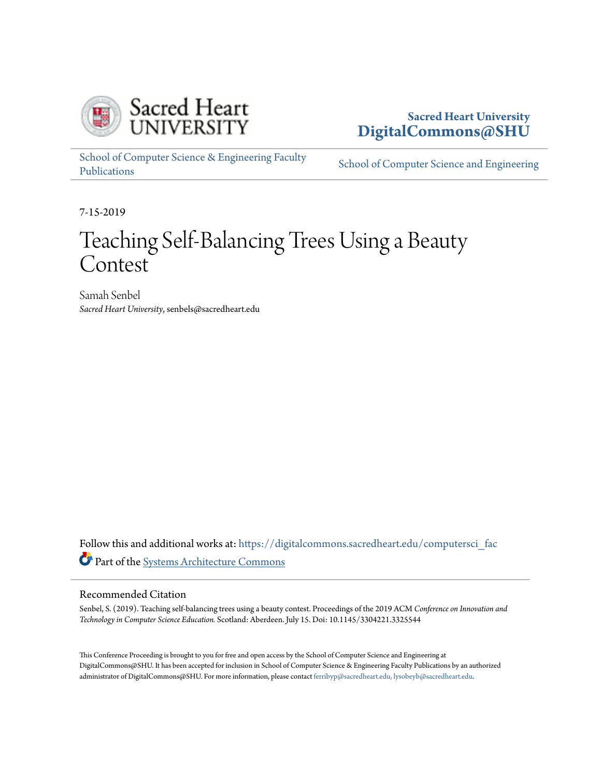

# **Sacred Heart University [DigitalCommons@SHU](https://digitalcommons.sacredheart.edu?utm_source=digitalcommons.sacredheart.edu%2Fcomputersci_fac%2F121&utm_medium=PDF&utm_campaign=PDFCoverPages)**

[School of Computer Science & Engineering Faculty](https://digitalcommons.sacredheart.edu/computersci_fac?utm_source=digitalcommons.sacredheart.edu%2Fcomputersci_fac%2F121&utm_medium=PDF&utm_campaign=PDFCoverPages) [Publications](https://digitalcommons.sacredheart.edu/computersci_fac?utm_source=digitalcommons.sacredheart.edu%2Fcomputersci_fac%2F121&utm_medium=PDF&utm_campaign=PDFCoverPages)

[School of Computer Science and Engineering](https://digitalcommons.sacredheart.edu/computersci?utm_source=digitalcommons.sacredheart.edu%2Fcomputersci_fac%2F121&utm_medium=PDF&utm_campaign=PDFCoverPages)

7-15-2019

# Teaching Self-Balancing Trees Using a Beauty **Contest**

Samah Senbel *Sacred Heart University*, senbels@sacredheart.edu

Follow this and additional works at: [https://digitalcommons.sacredheart.edu/computersci\\_fac](https://digitalcommons.sacredheart.edu/computersci_fac?utm_source=digitalcommons.sacredheart.edu%2Fcomputersci_fac%2F121&utm_medium=PDF&utm_campaign=PDFCoverPages) Part of the [Systems Architecture Commons](http://network.bepress.com/hgg/discipline/144?utm_source=digitalcommons.sacredheart.edu%2Fcomputersci_fac%2F121&utm_medium=PDF&utm_campaign=PDFCoverPages)

# Recommended Citation

Senbel, S. (2019). Teaching self-balancing trees using a beauty contest. Proceedings of the 2019 ACM *Conference on Innovation and Technology in Computer Science Education.* Scotland: Aberdeen. July 15. Doi: 10.1145/3304221.3325544

This Conference Proceeding is brought to you for free and open access by the School of Computer Science and Engineering at DigitalCommons@SHU. It has been accepted for inclusion in School of Computer Science & Engineering Faculty Publications by an authorized administrator of DigitalCommons@SHU. For more information, please contact [ferribyp@sacredheart.edu, lysobeyb@sacredheart.edu.](mailto:ferribyp@sacredheart.edu,%20lysobeyb@sacredheart.edu)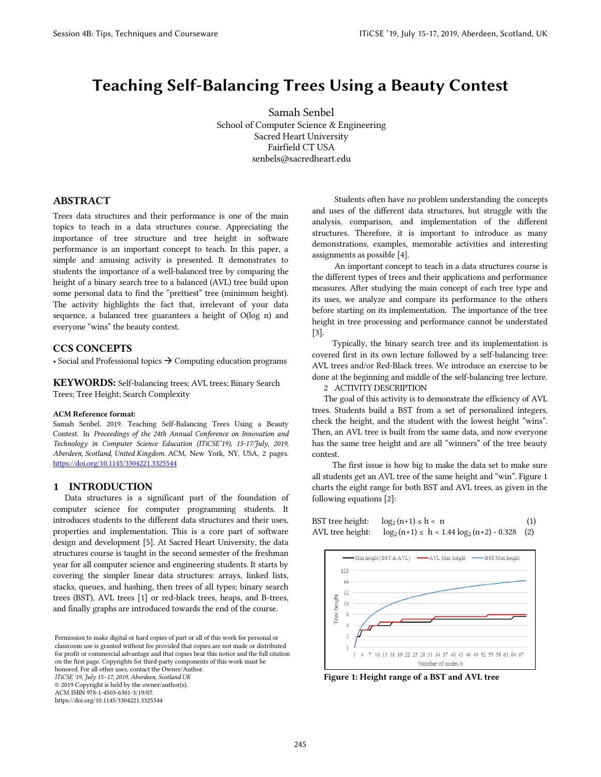# **Teaching Self-Balancing Trees Using a Beauty Contest**

Samah Senbel School of Computer Science & Engineering Sacred Heart University Fairfield CT USA senbels@sacredheart.edu

# **ABSTRACT**

Trees data structures and their performance is one of the main topics to teach in a data structures course. Appreciating the importance of tree structure and tree height in software performance is an important concept to teach. In this paper, a simple and amusing activity is presented. It demonstrates to students the importance of a well-balanced tree by comparing the height of a binary search tree to a balanced (AVL) tree build upon some personal data to find the "prettiest" tree (minimum height). The activity highlights the fact that, irrelevant of your data sequence, a balanced tree guarantees a height of O(log n) and everyone "wins" the beauty contest.

## **CCS CONCEPTS**

• Social and Professional topics  $\rightarrow$  Computing education programs

**KEYWORDS:** Self-balancing trees; AVL trees; Binary Search Trees; Tree Height; Search Complexity

#### **ACM Reference format:**

Samah Senbel. 2019. Teaching Self-Balancing Trees Using a Beauty Contest. In *Proceedings of the 24th Annual Conference on Innovation and Technology in Computer Science Education (ITiCSE'19), 15-17/July, 2019, Aberdeen, Scotland, United Kingdom.* ACM, New York, NY, USA, 2 pages. <https://doi.org/10.1145/3304221.3325544>

### **1 INTRODUCTION**

Data structures is a significant part of the foundation of computer science for computer programming students. It introduces students to the different data structures and their uses, properties and implementation. This is a core part of software design and development [5]. At Sacred Heart University, the data structures course is taught in the second semester of the freshman year for all computer science and engineering students. It starts by covering the simpler linear data structures: arrays, linked lists, stacks, queues, and hashing, then trees of all types; binary search trees (BST), AVL trees [1] or red-black trees, heaps, and B-trees, and finally graphs are introduced towards the end of the course.

Permission to make digital or hard copies of part or all of this work for personal or classroom use is granted without fee provided that copies are not made or distributed for profit or commercial advantage and that copies bear this notice and the full citation on the first page. Copyrights for third-party components of this work must be honored. For all other uses, contact the Owner/Author. *ITiCSE '19, July 15–17, 2019, Aberdeen, Scotland UK* © 2019 Copyright is held by the owner/author(s). ACM ISBN 978-1-4503-6301-3/19/07. https://doi.org/10.1145/3304221.3325544

 Students often have no problem understanding the concepts and uses of the different data structures, but struggle with the analysis, comparison, and implementation of the different structures. Therefore, it is important to introduce as many demonstrations, examples, memorable activities and interesting assignments as possible [4].

 An important concept to teach in a data structures course is the different types of trees and their applications and performance measures. After studying the main concept of each tree type and its uses, we analyze and compare its performance to the others before starting on its implementation. The importance of the tree height in tree processing and performance cannot be understated [3].

 Typically, the binary search tree and its implementation is covered first in its own lecture followed by a self-balancing tree: AVL trees and/or Red-Black trees. We introduce an exercise to be done at the beginning and middle of the self-balancing tree lecture.

2 ACTIVITY DESCRIPTION

The goal of this activity is to demonstrate the efficiency of AVL trees. Students build a BST from a set of personalized integers, check the height, and the student with the lowest height "wins". Then, an AVL tree is built from the same data, and now everyone has the same tree height and are all "winners" of the tree beauty contest.

 The first issue is how big to make the data set to make sure all students get an AVL tree of the same height and "win". Figure 1 charts the eight range for both BST and AVL trees, as given in the following equations [2]:

BST tree height:  $log_2(n+1) \le h < n$  (1) AVL tree height:  $\log_2 (n+1) \le h < 1.44 \log_2 (n+2) - 0.328$  (2)



**Figure 1: Height range of a BST and AVL tree**